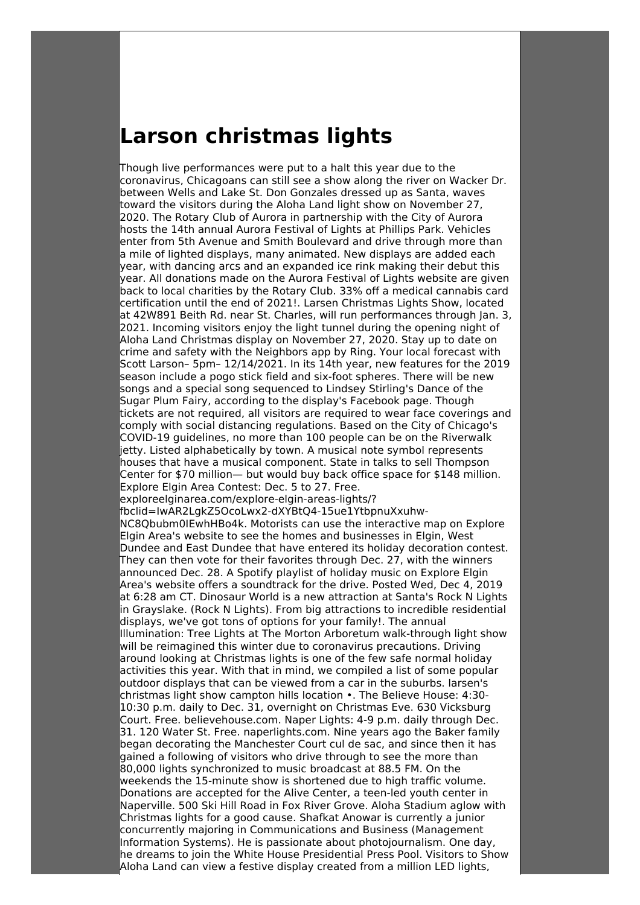## **Larson christmas lights**

Though live performances were put to a halt this year due to the coronavirus, Chicagoans can still see a show along the river on Wacker Dr. between Wells and Lake St. Don Gonzales dressed up as Santa, waves toward the visitors during the Aloha Land light show on November 27, 2020. The Rotary Club of Aurora in partnership with the City of Aurora hosts the 14th annual Aurora Festival of Lights at Phillips Park. Vehicles enter from 5th Avenue and Smith Boulevard and drive through more than a mile of lighted displays, many animated. New displays are added each year, with dancing arcs and an expanded ice rink making their debut this year. All donations made on the Aurora Festival of Lights website are given back to local charities by the Rotary Club. 33% off a medical cannabis card certification until the end of 2021!. Larsen Christmas Lights Show, located at 42W891 Beith Rd. near St. Charles, will run performances through Jan. 3, 2021. Incoming visitors enjoy the light tunnel during the opening night of Aloha Land Christmas display on November 27, 2020. Stay up to date on crime and safety with the Neighbors app by Ring. Your local forecast with Scott Larson– 5pm– 12/14/2021. In its 14th year, new features for the 2019 season include a pogo stick field and six-foot spheres. There will be new songs and a special song sequenced to Lindsey Stirling's Dance of the Sugar Plum Fairy, according to the display's Facebook page. Though tickets are not required, all visitors are required to wear face coverings and comply with social distancing regulations. Based on the City of Chicago's COVID-19 guidelines, no more than 100 people can be on the Riverwalk jetty. Listed alphabetically by town. A musical note symbol represents houses that have a musical component. State in talks to sell Thompson Center for \$70 million— but would buy back office space for \$148 million. Explore Elgin Area Contest: Dec. 5 to 27. Free. exploreelginarea.com/explore-elgin-areas-lights/? fbclid=IwAR2LgkZ5OcoLwx2-dXYBtQ4-15ue1YtbpnuXxuhw-NC8Qbubm0IEwhHBo4k. Motorists can use the interactive map on Explore Elgin Area's website to see the homes and businesses in Elgin, West Dundee and East Dundee that have entered its holiday decoration contest. They can then vote for their favorites through Dec. 27, with the winners announced Dec. 28. A Spotify playlist of holiday music on Explore Elgin Area's website offers a soundtrack for the drive. Posted Wed, Dec 4, 2019 at 6:28 am CT. Dinosaur World is a new attraction at Santa's Rock N Lights in Grayslake. (Rock N Lights). From big attractions to incredible residential displays, we've got tons of options for your family!. The annual Illumination: Tree Lights at The Morton Arboretum walk-through light show will be reimagined this winter due to coronavirus precautions. Driving around looking at Christmas lights is one of the few safe normal holiday activities this year. With that in mind, we compiled a list of some popular outdoor displays that can be viewed from a car in the suburbs. larsen's christmas light show campton hills location •. The Believe House: 4:30- 10:30 p.m. daily to Dec. 31, overnight on Christmas Eve. 630 Vicksburg Court. Free. believehouse.com. Naper Lights: 4-9 p.m. daily through Dec. 31. 120 Water St. Free. naperlights.com. Nine years ago the Baker family began decorating the Manchester Court cul de sac, and since then it has gained a following of visitors who drive through to see the more than 80,000 lights synchronized to music broadcast at 88.5 FM. On the weekends the 15-minute show is shortened due to high traffic volume. Donations are accepted for the Alive Center, a teen-led youth center in Naperville. 500 Ski Hill Road in Fox River Grove. Aloha Stadium aglow with Christmas lights for a good cause. Shafkat Anowar is currently a junior concurrently majoring in Communications and Business (Management Information Systems). He is passionate about photojournalism. One day, he dreams to join the White House Presidential Press Pool. Visitors to Show Aloha Land can view a festive display created from a million LED lights,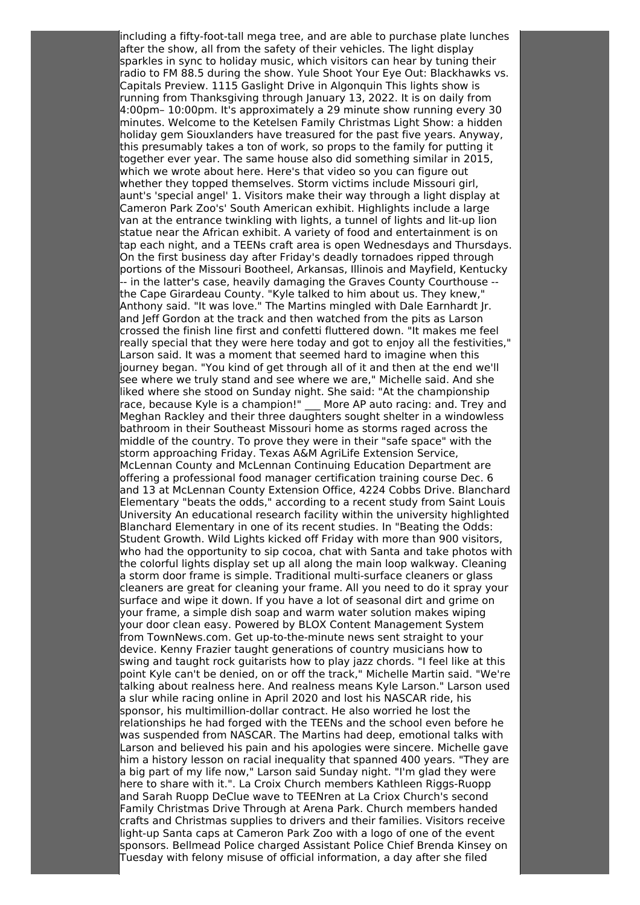including a fifty-foot-tall mega tree, and are able to purchase plate lunches after the show, all from the safety of their vehicles. The light display sparkles in sync to holiday music, which visitors can hear by tuning their radio to FM 88.5 during the show. Yule Shoot Your Eye Out: Blackhawks vs. Capitals Preview. 1115 Gaslight Drive in Algonquin This lights show is running from Thanksgiving through January 13, 2022. It is on daily from 4:00pm– 10:00pm. It's approximately a 29 minute show running every 30 minutes. Welcome to the Ketelsen Family Christmas Light Show: a hidden holiday gem Siouxlanders have treasured for the past five years. Anyway, this presumably takes a ton of work, so props to the family for putting it together ever year. The same house also did something similar in 2015, which we wrote about here. Here's that video so you can figure out whether they topped themselves. Storm victims include Missouri girl, aunt's 'special angel' 1. Visitors make their way through a light display at Cameron Park Zoo's' South American exhibit. Highlights include a large van at the entrance twinkling with lights, a tunnel of lights and lit-up lion statue near the African exhibit. A variety of food and entertainment is on tap each night, and a TEENs craft area is open Wednesdays and Thursdays. On the first business day after Friday's deadly tornadoes ripped through portions of the Missouri Bootheel, Arkansas, Illinois and Mayfield, Kentucky -- in the latter's case, heavily damaging the Graves County Courthouse - the Cape Girardeau County. "Kyle talked to him about us. They knew," Anthony said. "It was love." The Martins mingled with Dale Earnhardt Jr. and Jeff Gordon at the track and then watched from the pits as Larson crossed the finish line first and confetti fluttered down. "It makes me feel really special that they were here today and got to enjoy all the festivities," Larson said. It was a moment that seemed hard to imagine when this journey began. "You kind of get through all of it and then at the end we'll see where we truly stand and see where we are," Michelle said. And she liked where she stood on Sunday night. She said: "At the championship race, because Kyle is a champion!" \_ More AP auto racing: and. Trey and Meghan Rackley and their three daughters sought shelter in a windowless bathroom in their Southeast Missouri home as storms raged across the middle of the country. To prove they were in their "safe space" with the storm approaching Friday. Texas A&M AgriLife Extension Service, McLennan County and McLennan Continuing Education Department are offering a professional food manager certification training course Dec. 6 and 13 at McLennan County Extension Office, 4224 Cobbs Drive. Blanchard Elementary "beats the odds," according to a recent study from Saint Louis University An educational research facility within the university highlighted Blanchard Elementary in one of its recent studies. In "Beating the Odds: Student Growth. Wild Lights kicked off Friday with more than 900 visitors, who had the opportunity to sip cocoa, chat with Santa and take photos with the colorful lights display set up all along the main loop walkway. Cleaning a storm door frame is simple. Traditional multi-surface cleaners or glass cleaners are great for cleaning your frame. All you need to do it spray your surface and wipe it down. If you have a lot of seasonal dirt and grime on your frame, a simple dish soap and warm water solution makes wiping your door clean easy. Powered by BLOX Content Management System from TownNews.com. Get up-to-the-minute news sent straight to your device. Kenny Frazier taught generations of country musicians how to swing and taught rock guitarists how to play jazz chords. "I feel like at this point Kyle can't be denied, on or off the track," Michelle Martin said. "We're talking about realness here. And realness means Kyle Larson." Larson used a slur while racing online in April 2020 and lost his NASCAR ride, his sponsor, his multimillion-dollar contract. He also worried he lost the relationships he had forged with the TEENs and the school even before he was suspended from NASCAR. The Martins had deep, emotional talks with Larson and believed his pain and his apologies were sincere. Michelle gave him a history lesson on racial inequality that spanned 400 years. "They are a big part of my life now," Larson said Sunday night. "I'm glad they were here to share with it.". La Croix Church members Kathleen Riggs-Ruopp and Sarah Ruopp DeClue wave to TEENren at La Criox Church's second Family Christmas Drive Through at Arena Park. Church members handed crafts and Christmas supplies to drivers and their families. Visitors receive light-up Santa caps at Cameron Park Zoo with a logo of one of the event sponsors. Bellmead Police charged Assistant Police Chief Brenda Kinsey on Tuesday with felony misuse of official information, a day after she filed